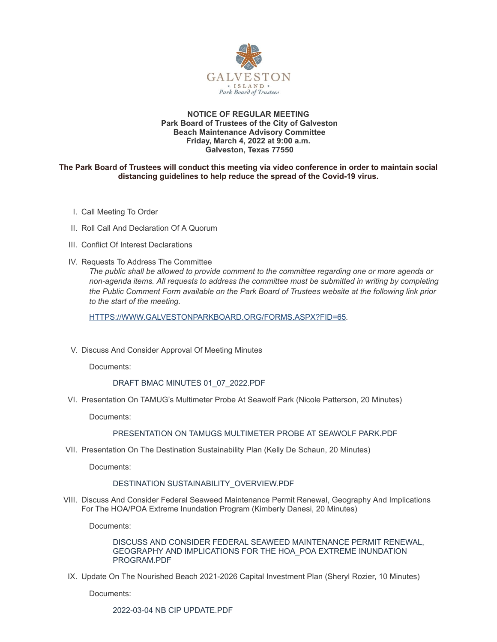

#### **NOTICE OF REGULAR MEETING Park Board of Trustees of the City of Galveston Beach Maintenance Advisory Committee Friday, March 4, 2022 at 9:00 a.m. Galveston, Texas 77550**

### **The Park Board of Trustees will conduct this meeting via video conference in order to maintain social distancing guidelines to help reduce the spread of the Covid-19 virus.**

- I. Call Meeting To Order
- II. Roll Call And Declaration Of A Quorum
- III. Conflict Of Interest Declarations
- IV. Requests To Address The Committee

*The public shall be allowed to provide comment to the committee regarding one or more agenda or non-agenda items. All requests to address the committee must be submitted in writing by completing the Public Comment Form available on the Park Board of Trustees website at the following link prior to the start of the meeting.*

[HTTPS://WWW.GALVESTONPARKBOARD.ORG/FORMS.ASPX?FID=65](https://www.galvestonparkboard.org/forms.aspx?FID=65)*.*

V. Discuss And Consider Approval Of Meeting Minutes

Documents:

## DRAFT BMAC MINUTES [01\\_07\\_2022.PDF](https://www.galvestonparkboard.org/AgendaCenter/ViewFile/Item/7361?fileID=10923)

VI. Presentation On TAMUG's Multimeter Probe At Seawolf Park (Nicole Patterson, 20 Minutes)

Documents:

## [PRESENTATION](https://www.galvestonparkboard.org/AgendaCenter/ViewFile/Item/7404?fileID=10889) ON TAMUGS MULTIMETER PROBE AT SEAWOLF PARK.PDF

VII. Presentation On The Destination Sustainability Plan (Kelly De Schaun, 20 Minutes)

Documents:

#### DESTINATION [SUSTAINABILITY\\_OVERVIEW.PDF](https://www.galvestonparkboard.org/AgendaCenter/ViewFile/Item/7405?fileID=10886)

VIII. Discuss And Consider Federal Seaweed Maintenance Permit Renewal, Geography And Implications For The HOA/POA Extreme Inundation Program (Kimberly Danesi, 20 Minutes)

Documents:

DISCUSS AND CONSIDER FEDERAL SEAWEED MAINTENANCE PERMIT RENEWAL, GEOGRAPHY AND IMPLICATIONS FOR THE HOA\_POA EXTREME INUNDATION [PROGRAM.PDF](https://www.galvestonparkboard.org/AgendaCenter/ViewFile/Item/7429?fileID=10928)

IX. Update On The Nourished Beach 2021-2026 Capital Investment Plan (Sheryl Rozier, 10 Minutes)

Documents:

2022-03-04 NB CIP [UPDATE.PDF](https://www.galvestonparkboard.org/AgendaCenter/ViewFile/Item/7399?fileID=10870)